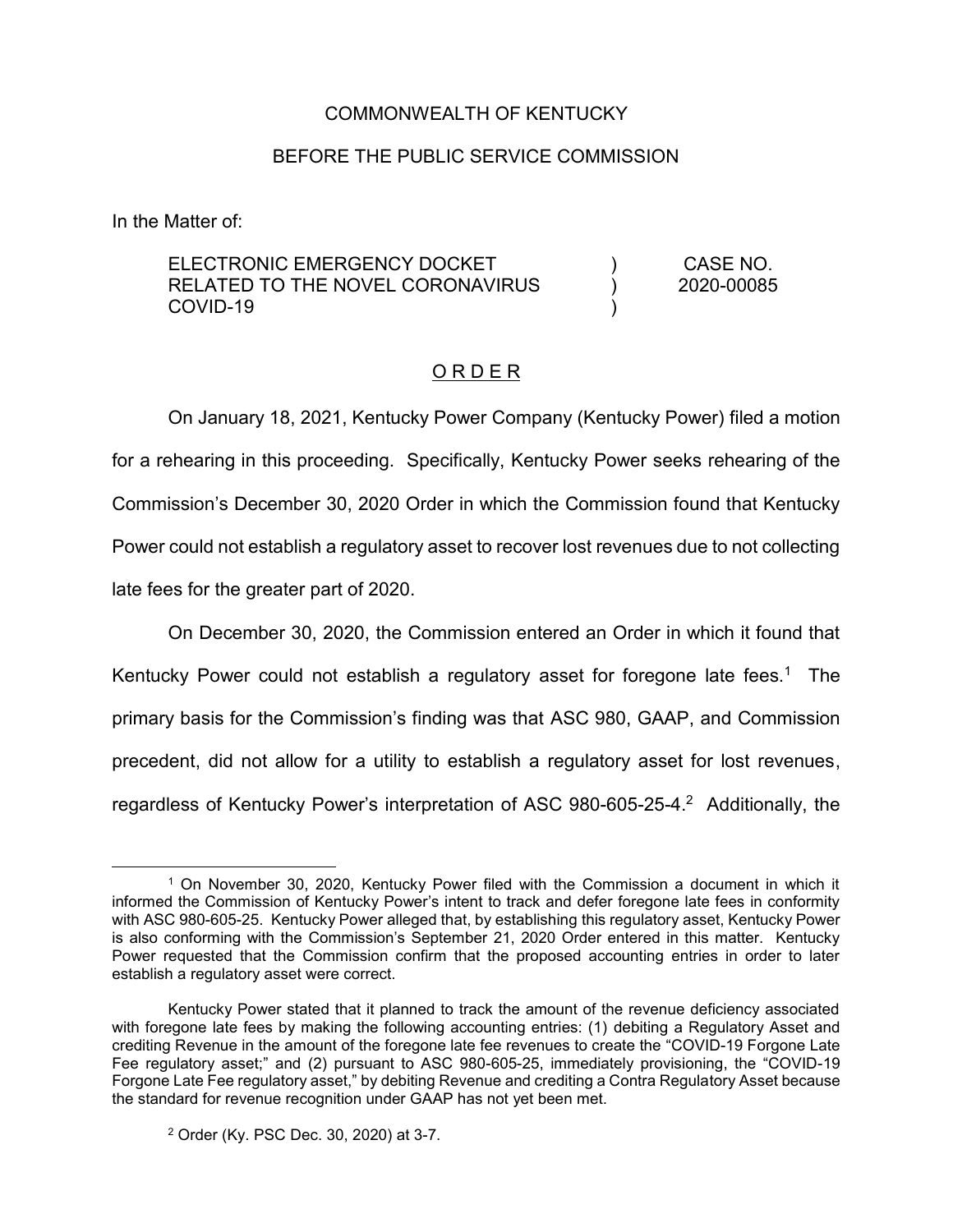# COMMONWEALTH OF KENTUCKY

## BEFORE THE PUBLIC SERVICE COMMISSION

In the Matter of:

#### ELECTRONIC EMERGENCY DOCKET RELATED TO THE NOVEL CORONAVIRUS COVID-19 )  $\lambda$ ) CASE NO. 2020-00085

# O R D E R

On January 18, 2021, Kentucky Power Company (Kentucky Power) filed a motion for a rehearing in this proceeding. Specifically, Kentucky Power seeks rehearing of the Commission's December 30, 2020 Order in which the Commission found that Kentucky Power could not establish a regulatory asset to recover lost revenues due to not collecting late fees for the greater part of 2020.

On December 30, 2020, the Commission entered an Order in which it found that Kentucky Power could not establish a regulatory asset for foregone late fees.<sup>1</sup> The primary basis for the Commission's finding was that ASC 980, GAAP, and Commission precedent, did not allow for a utility to establish a regulatory asset for lost revenues, regardless of Kentucky Power's interpretation of ASC 980-605-25-4.<sup>2</sup> Additionally, the

 <sup>1</sup> On November 30, 2020, Kentucky Power filed with the Commission a document in which it informed the Commission of Kentucky Power's intent to track and defer foregone late fees in conformity with ASC 980-605-25. Kentucky Power alleged that, by establishing this regulatory asset, Kentucky Power is also conforming with the Commission's September 21, 2020 Order entered in this matter. Kentucky Power requested that the Commission confirm that the proposed accounting entries in order to later establish a regulatory asset were correct.

Kentucky Power stated that it planned to track the amount of the revenue deficiency associated with foregone late fees by making the following accounting entries: (1) debiting a Regulatory Asset and crediting Revenue in the amount of the foregone late fee revenues to create the "COVID-19 Forgone Late Fee regulatory asset;" and (2) pursuant to ASC 980-605-25, immediately provisioning, the "COVID-19 Forgone Late Fee regulatory asset," by debiting Revenue and crediting a Contra Regulatory Asset because the standard for revenue recognition under GAAP has not yet been met.

<sup>2</sup> Order (Ky. PSC Dec. 30, 2020) at 3-7.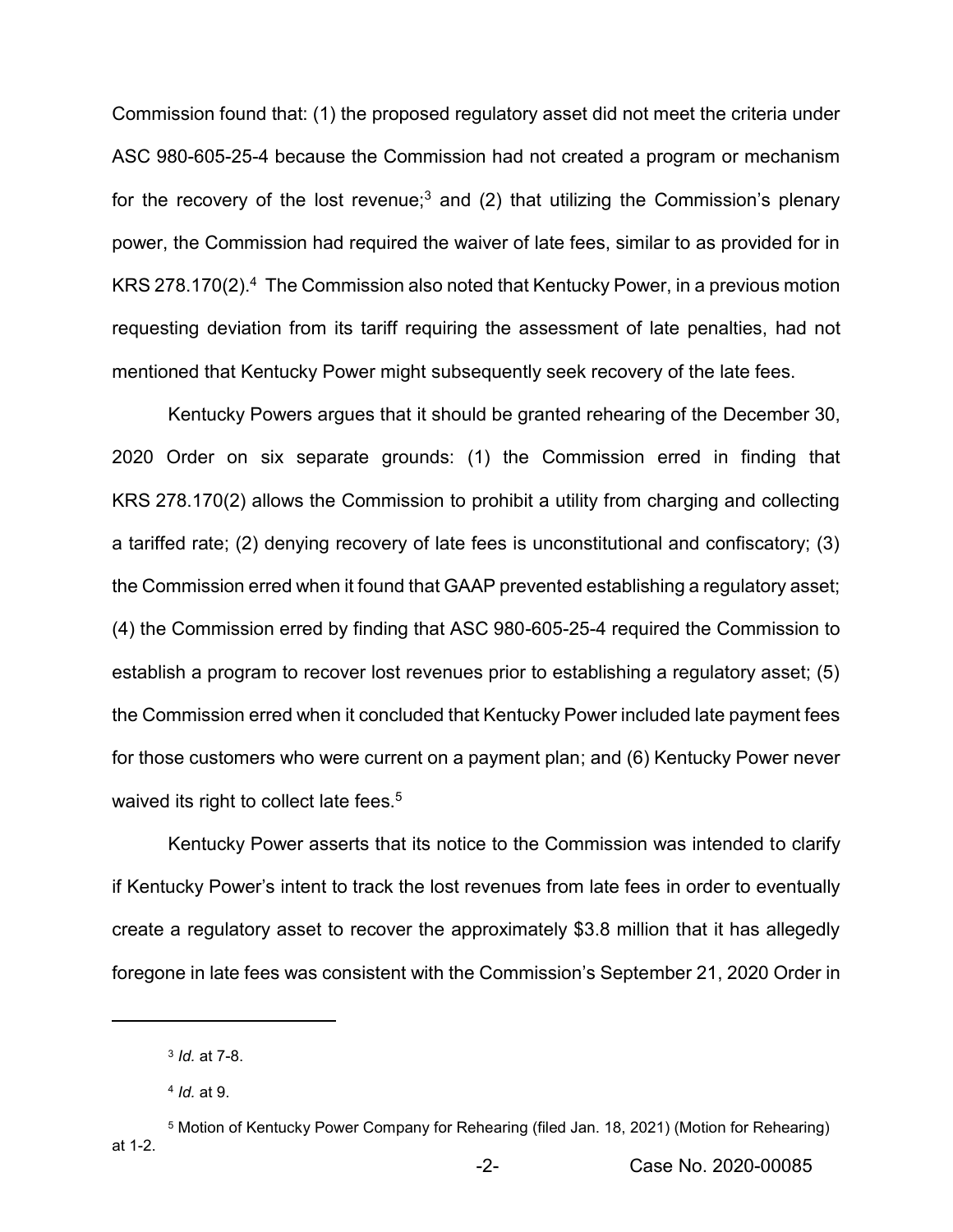Commission found that: (1) the proposed regulatory asset did not meet the criteria under ASC 980-605-25-4 because the Commission had not created a program or mechanism for the recovery of the lost revenue;<sup>3</sup> and (2) that utilizing the Commission's plenary power, the Commission had required the waiver of late fees, similar to as provided for in KRS 278.170(2).<sup>4</sup> The Commission also noted that Kentucky Power, in a previous motion requesting deviation from its tariff requiring the assessment of late penalties, had not mentioned that Kentucky Power might subsequently seek recovery of the late fees.

Kentucky Powers argues that it should be granted rehearing of the December 30, 2020 Order on six separate grounds: (1) the Commission erred in finding that KRS 278.170(2) allows the Commission to prohibit a utility from charging and collecting a tariffed rate; (2) denying recovery of late fees is unconstitutional and confiscatory; (3) the Commission erred when it found that GAAP prevented establishing a regulatory asset; (4) the Commission erred by finding that ASC 980-605-25-4 required the Commission to establish a program to recover lost revenues prior to establishing a regulatory asset; (5) the Commission erred when it concluded that Kentucky Power included late payment fees for those customers who were current on a payment plan; and (6) Kentucky Power never waived its right to collect late fees.<sup>5</sup>

Kentucky Power asserts that its notice to the Commission was intended to clarify if Kentucky Power's intent to track the lost revenues from late fees in order to eventually create a regulatory asset to recover the approximately \$3.8 million that it has allegedly foregone in late fees was consistent with the Commission's September 21, 2020 Order in

 $\overline{a}$ 

<sup>3</sup> *Id.* at 7-8.

<sup>4</sup> *Id.* at 9.

<sup>5</sup> Motion of Kentucky Power Company for Rehearing (filed Jan. 18, 2021) (Motion for Rehearing) at 1-2.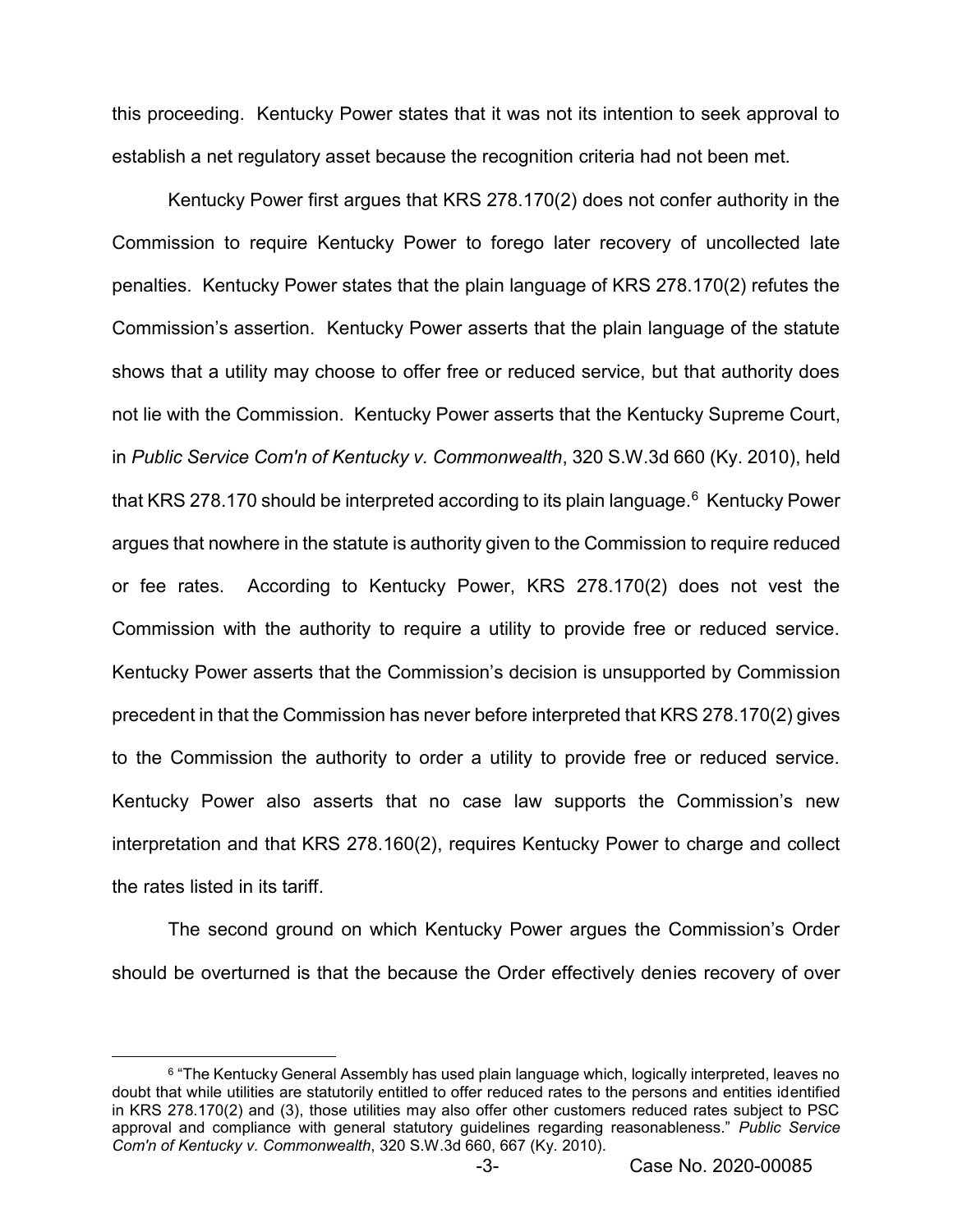this proceeding. Kentucky Power states that it was not its intention to seek approval to establish a net regulatory asset because the recognition criteria had not been met.

Kentucky Power first argues that KRS 278.170(2) does not confer authority in the Commission to require Kentucky Power to forego later recovery of uncollected late penalties. Kentucky Power states that the plain language of KRS 278.170(2) refutes the Commission's assertion. Kentucky Power asserts that the plain language of the statute shows that a utility may choose to offer free or reduced service, but that authority does not lie with the Commission. Kentucky Power asserts that the Kentucky Supreme Court, in *Public Service Com'n of Kentucky v. Commonwealth*, 320 S.W.3d 660 (Ky. 2010), held that KRS 278.170 should be interpreted according to its plain language.<sup>6</sup> Kentucky Power argues that nowhere in the statute is authority given to the Commission to require reduced or fee rates. According to Kentucky Power, KRS 278.170(2) does not vest the Commission with the authority to require a utility to provide free or reduced service. Kentucky Power asserts that the Commission's decision is unsupported by Commission precedent in that the Commission has never before interpreted that KRS 278.170(2) gives to the Commission the authority to order a utility to provide free or reduced service. Kentucky Power also asserts that no case law supports the Commission's new interpretation and that KRS 278.160(2), requires Kentucky Power to charge and collect the rates listed in its tariff.

The second ground on which Kentucky Power argues the Commission's Order should be overturned is that the because the Order effectively denies recovery of over

<sup>&</sup>lt;sup>6</sup> "The Kentucky General Assembly has used plain language which, logically interpreted, leaves no doubt that while utilities are statutorily entitled to offer reduced rates to the persons and entities identified in KRS 278.170(2) and (3), those utilities may also offer other customers reduced rates subject to PSC approval and compliance with general statutory guidelines regarding reasonableness." *Public Service Com'n of Kentucky v. Commonwealth*, 320 S.W.3d 660, 667 (Ky. 2010).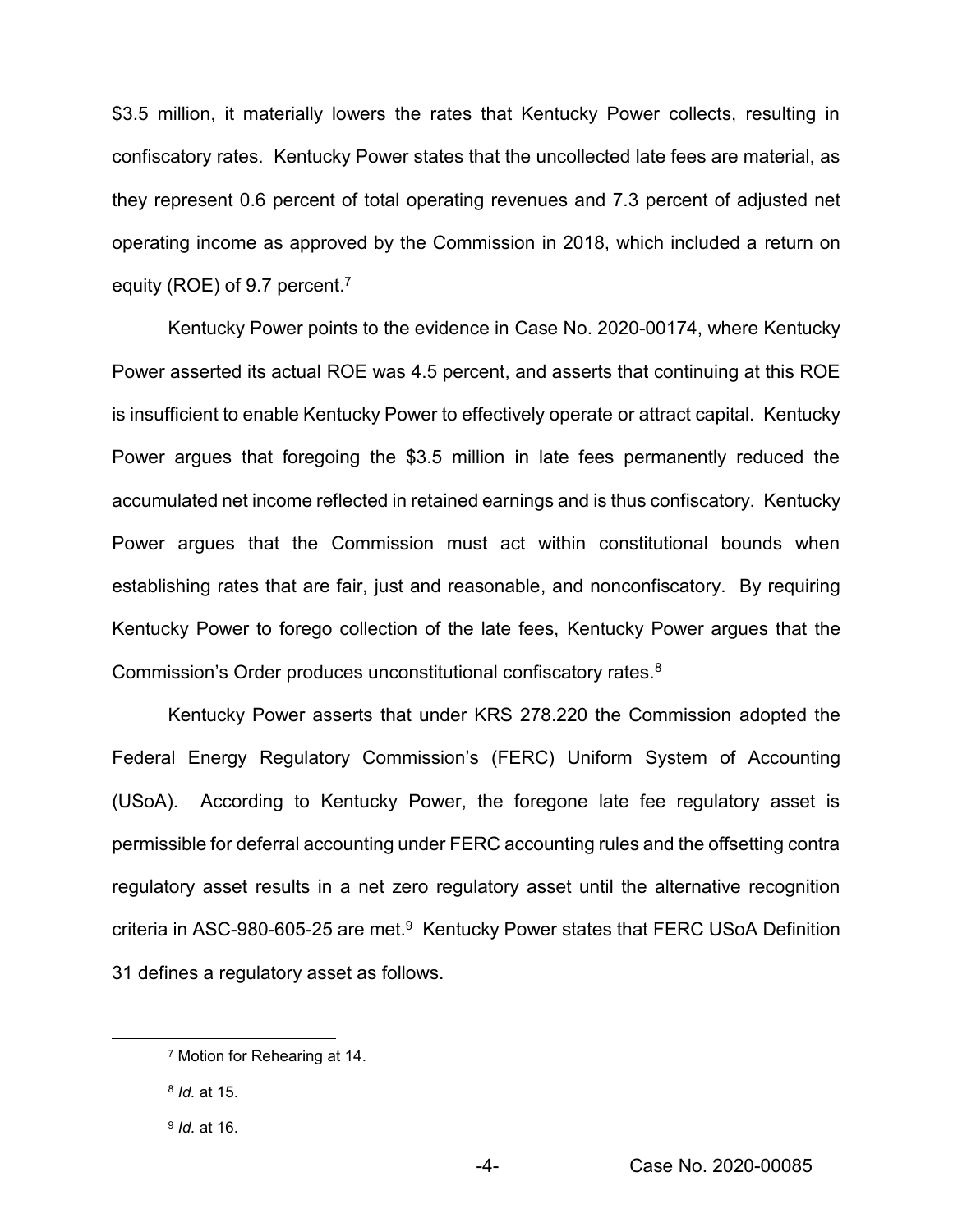\$3.5 million, it materially lowers the rates that Kentucky Power collects, resulting in confiscatory rates. Kentucky Power states that the uncollected late fees are material, as they represent 0.6 percent of total operating revenues and 7.3 percent of adjusted net operating income as approved by the Commission in 2018, which included a return on equity (ROE) of 9.7 percent.<sup>7</sup>

Kentucky Power points to the evidence in Case No. 2020-00174, where Kentucky Power asserted its actual ROE was 4.5 percent, and asserts that continuing at this ROE is insufficient to enable Kentucky Power to effectively operate or attract capital. Kentucky Power argues that foregoing the \$3.5 million in late fees permanently reduced the accumulated net income reflected in retained earnings and is thus confiscatory. Kentucky Power argues that the Commission must act within constitutional bounds when establishing rates that are fair, just and reasonable, and nonconfiscatory. By requiring Kentucky Power to forego collection of the late fees, Kentucky Power argues that the Commission's Order produces unconstitutional confiscatory rates.<sup>8</sup>

Kentucky Power asserts that under KRS 278.220 the Commission adopted the Federal Energy Regulatory Commission's (FERC) Uniform System of Accounting (USoA). According to Kentucky Power, the foregone late fee regulatory asset is permissible for deferral accounting under FERC accounting rules and the offsetting contra regulatory asset results in a net zero regulatory asset until the alternative recognition criteria in ASC-980-605-25 are met. $9$  Kentucky Power states that FERC USoA Definition 31 defines a regulatory asset as follows.

 <sup>7</sup> Motion for Rehearing at 14.

<sup>8</sup> *Id.* at 15.

<sup>9</sup> *Id.* at 16.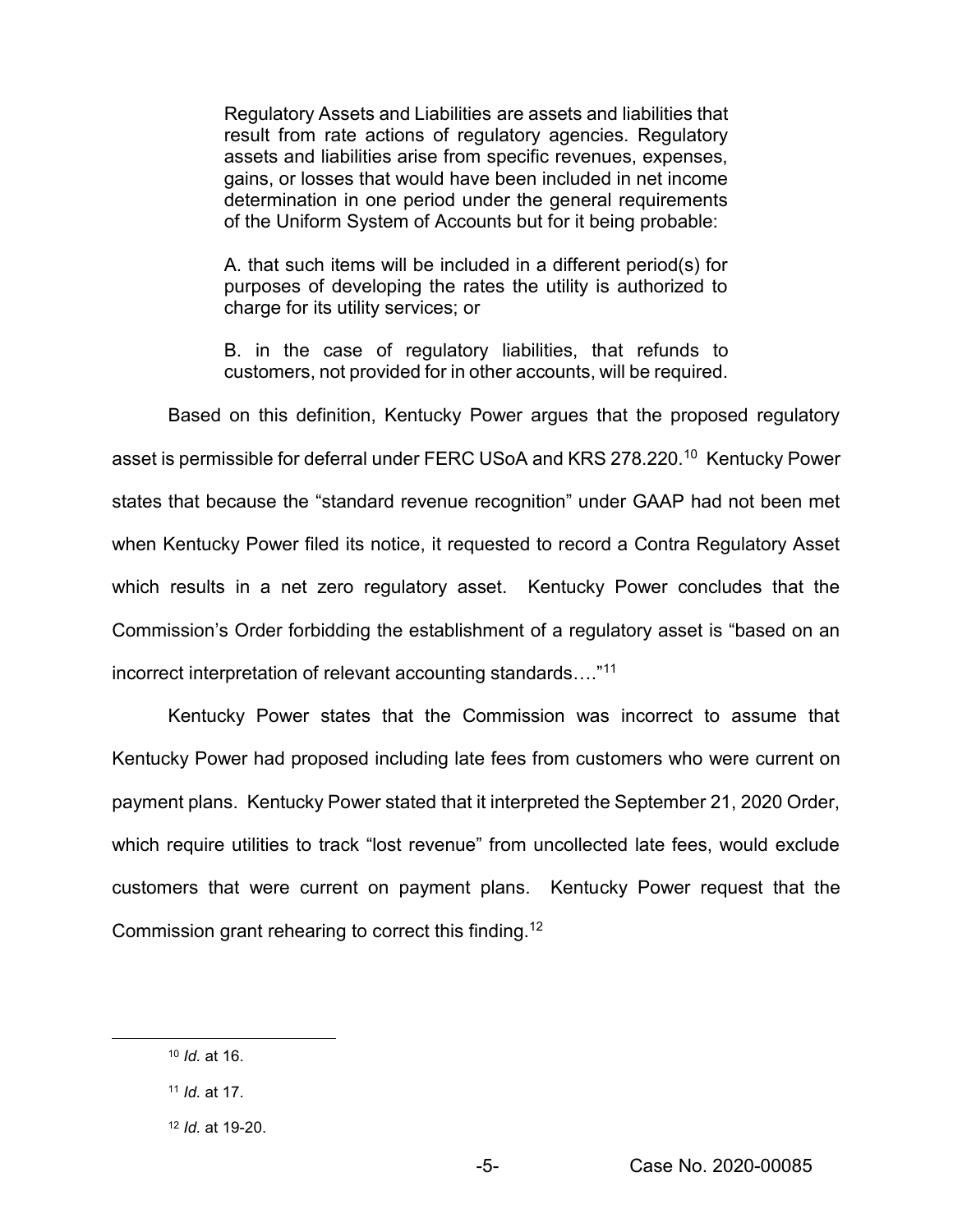Regulatory Assets and Liabilities are assets and liabilities that result from rate actions of regulatory agencies. Regulatory assets and liabilities arise from specific revenues, expenses, gains, or losses that would have been included in net income determination in one period under the general requirements of the Uniform System of Accounts but for it being probable:

A. that such items will be included in a different period(s) for purposes of developing the rates the utility is authorized to charge for its utility services; or

B. in the case of regulatory liabilities, that refunds to customers, not provided for in other accounts, will be required.

Based on this definition, Kentucky Power argues that the proposed regulatory asset is permissible for deferral under FERC USoA and KRS 278.220.<sup>10</sup> Kentucky Power states that because the "standard revenue recognition" under GAAP had not been met when Kentucky Power filed its notice, it requested to record a Contra Regulatory Asset which results in a net zero regulatory asset. Kentucky Power concludes that the Commission's Order forbidding the establishment of a regulatory asset is "based on an incorrect interpretation of relevant accounting standards…."<sup>11</sup>

Kentucky Power states that the Commission was incorrect to assume that Kentucky Power had proposed including late fees from customers who were current on payment plans. Kentucky Power stated that it interpreted the September 21, 2020 Order, which require utilities to track "lost revenue" from uncollected late fees, would exclude customers that were current on payment plans. Kentucky Power request that the Commission grant rehearing to correct this finding.12

 <sup>10</sup> *Id.* at 16.

<sup>11</sup> *Id.* at 17.

<sup>12</sup> *Id.* at 19-20.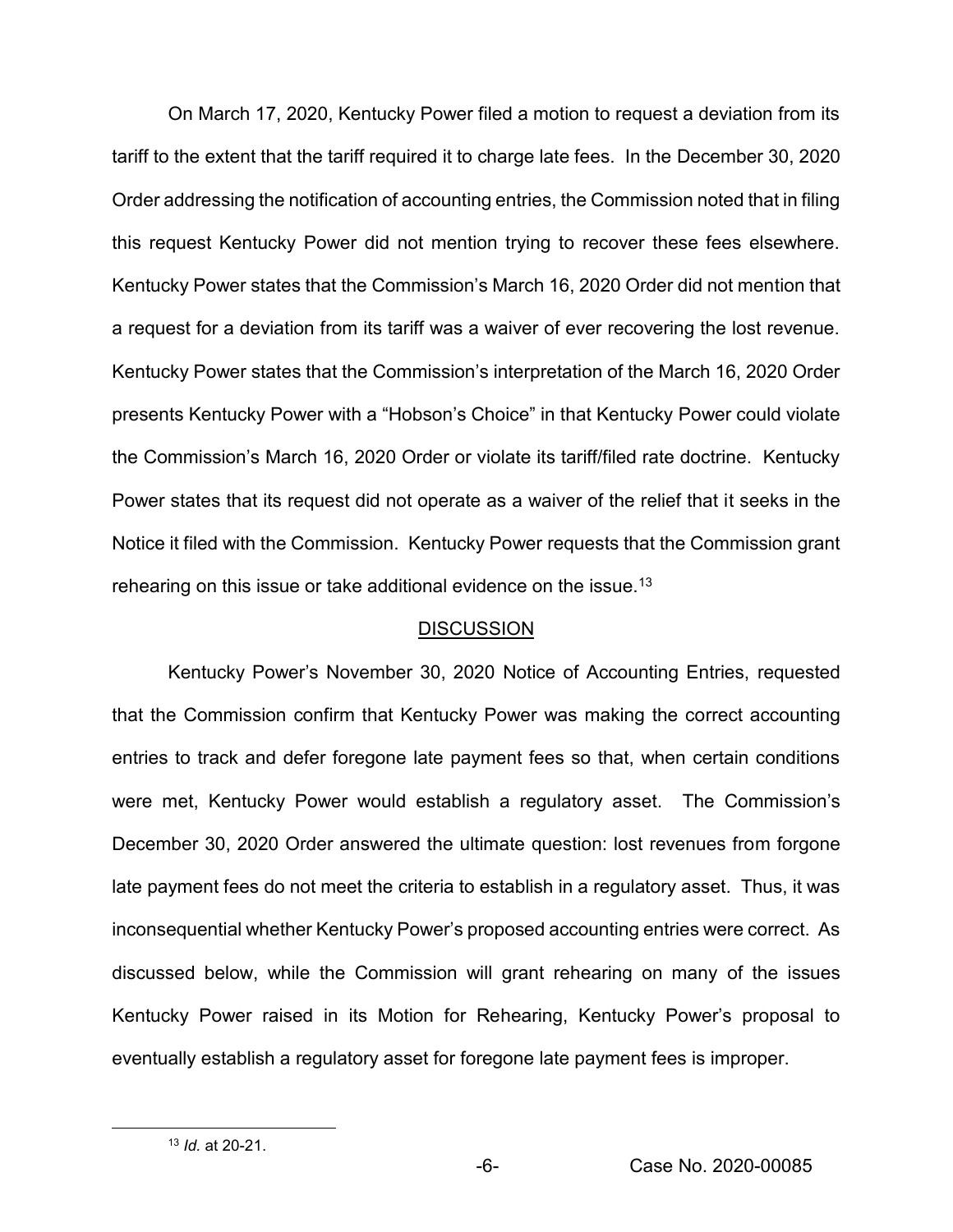On March 17, 2020, Kentucky Power filed a motion to request a deviation from its tariff to the extent that the tariff required it to charge late fees. In the December 30, 2020 Order addressing the notification of accounting entries, the Commission noted that in filing this request Kentucky Power did not mention trying to recover these fees elsewhere. Kentucky Power states that the Commission's March 16, 2020 Order did not mention that a request for a deviation from its tariff was a waiver of ever recovering the lost revenue. Kentucky Power states that the Commission's interpretation of the March 16, 2020 Order presents Kentucky Power with a "Hobson's Choice" in that Kentucky Power could violate the Commission's March 16, 2020 Order or violate its tariff/filed rate doctrine. Kentucky Power states that its request did not operate as a waiver of the relief that it seeks in the Notice it filed with the Commission. Kentucky Power requests that the Commission grant rehearing on this issue or take additional evidence on the issue.13

#### **DISCUSSION**

Kentucky Power's November 30, 2020 Notice of Accounting Entries, requested that the Commission confirm that Kentucky Power was making the correct accounting entries to track and defer foregone late payment fees so that, when certain conditions were met, Kentucky Power would establish a regulatory asset. The Commission's December 30, 2020 Order answered the ultimate question: lost revenues from forgone late payment fees do not meet the criteria to establish in a regulatory asset. Thus, it was inconsequential whether Kentucky Power's proposed accounting entries were correct. As discussed below, while the Commission will grant rehearing on many of the issues Kentucky Power raised in its Motion for Rehearing, Kentucky Power's proposal to eventually establish a regulatory asset for foregone late payment fees is improper.

 <sup>13</sup> *Id.* at 20-21.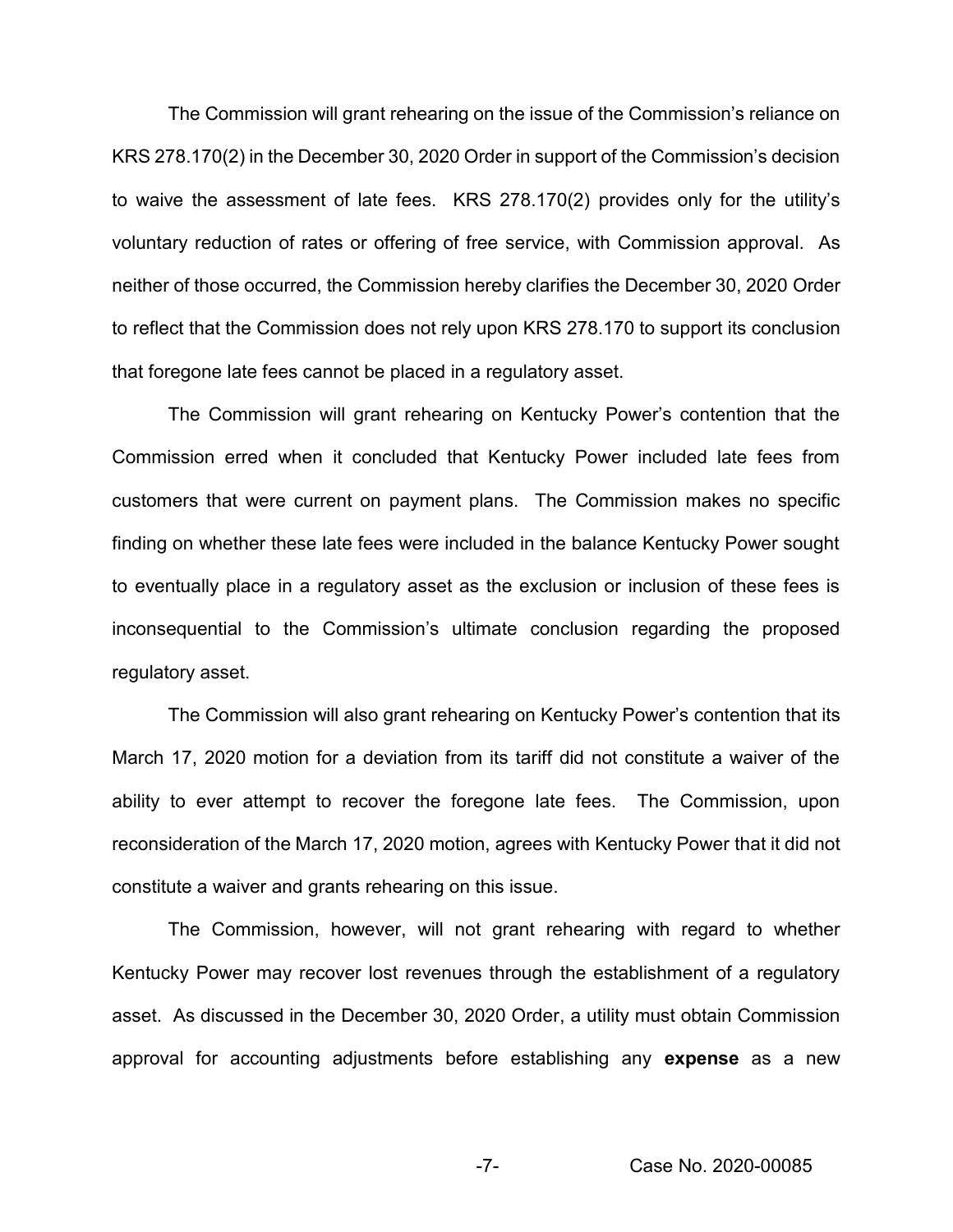The Commission will grant rehearing on the issue of the Commission's reliance on KRS 278.170(2) in the December 30, 2020 Order in support of the Commission's decision to waive the assessment of late fees. KRS 278.170(2) provides only for the utility's voluntary reduction of rates or offering of free service, with Commission approval. As neither of those occurred, the Commission hereby clarifies the December 30, 2020 Order to reflect that the Commission does not rely upon KRS 278.170 to support its conclusion that foregone late fees cannot be placed in a regulatory asset.

The Commission will grant rehearing on Kentucky Power's contention that the Commission erred when it concluded that Kentucky Power included late fees from customers that were current on payment plans. The Commission makes no specific finding on whether these late fees were included in the balance Kentucky Power sought to eventually place in a regulatory asset as the exclusion or inclusion of these fees is inconsequential to the Commission's ultimate conclusion regarding the proposed regulatory asset.

The Commission will also grant rehearing on Kentucky Power's contention that its March 17, 2020 motion for a deviation from its tariff did not constitute a waiver of the ability to ever attempt to recover the foregone late fees. The Commission, upon reconsideration of the March 17, 2020 motion, agrees with Kentucky Power that it did not constitute a waiver and grants rehearing on this issue.

The Commission, however, will not grant rehearing with regard to whether Kentucky Power may recover lost revenues through the establishment of a regulatory asset. As discussed in the December 30, 2020 Order, a utility must obtain Commission approval for accounting adjustments before establishing any **expense** as a new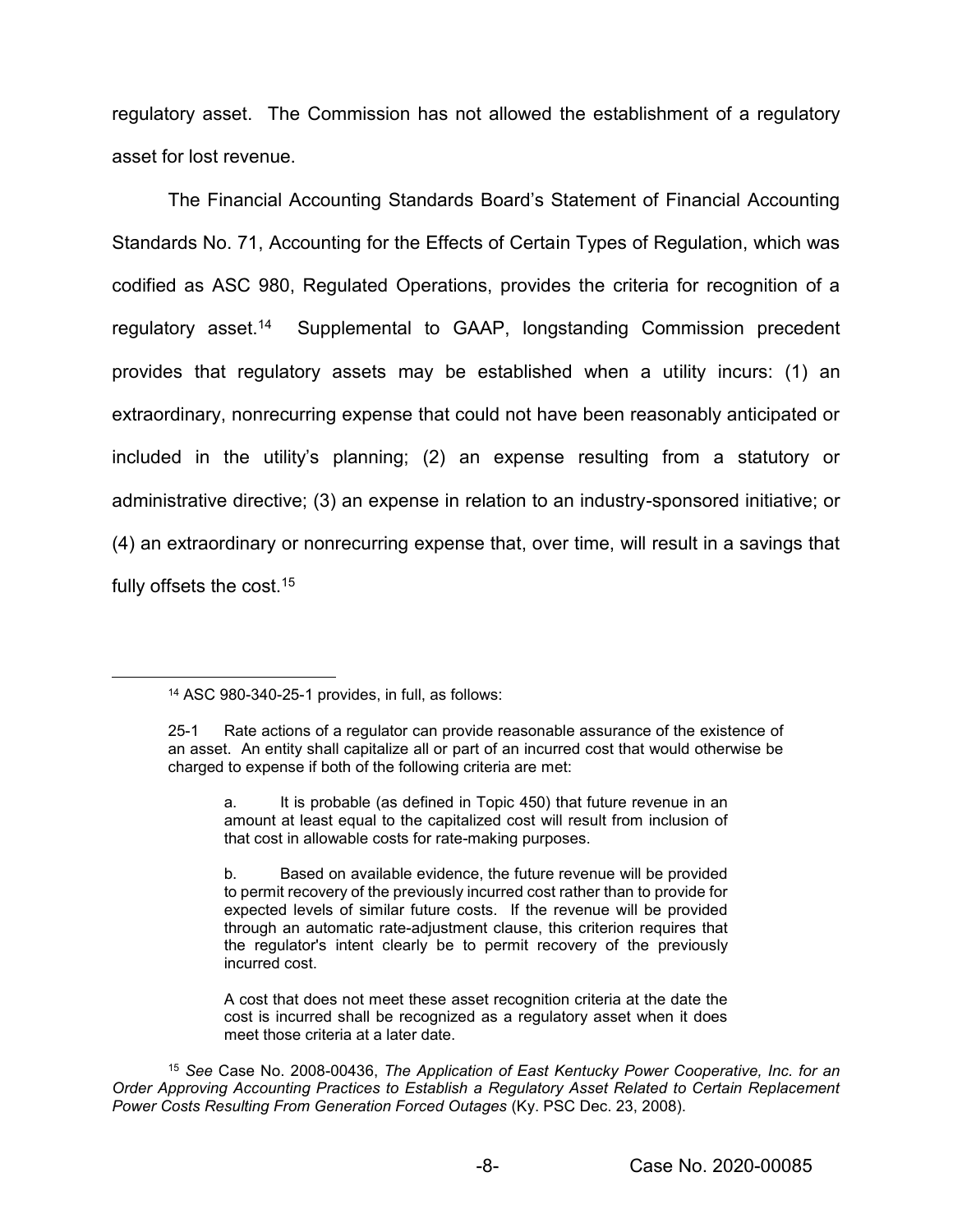regulatory asset. The Commission has not allowed the establishment of a regulatory asset for lost revenue.

The Financial Accounting Standards Board's Statement of Financial Accounting Standards No. 71, Accounting for the Effects of Certain Types of Regulation, which was codified as ASC 980, Regulated Operations, provides the criteria for recognition of a regulatory asset.14 Supplemental to GAAP, longstanding Commission precedent provides that regulatory assets may be established when a utility incurs: (1) an extraordinary, nonrecurring expense that could not have been reasonably anticipated or included in the utility's planning; (2) an expense resulting from a statutory or administrative directive; (3) an expense in relation to an industry-sponsored initiative; or (4) an extraordinary or nonrecurring expense that, over time, will result in a savings that fully offsets the cost.<sup>15</sup>

A cost that does not meet these asset recognition criteria at the date the cost is incurred shall be recognized as a regulatory asset when it does meet those criteria at a later date.

 <sup>14</sup> ASC 980-340-25-1 provides, in full, as follows:

<sup>25-1</sup> Rate actions of a regulator can provide reasonable assurance of the existence of an asset. An entity shall capitalize all or part of an incurred cost that would otherwise be charged to expense if both of the following criteria are met:

a. It is probable (as defined in Topic 450) that future revenue in an amount at least equal to the capitalized cost will result from inclusion of that cost in allowable costs for rate-making purposes.

b. Based on available evidence, the future revenue will be provided to permit recovery of the previously incurred cost rather than to provide for expected levels of similar future costs. If the revenue will be provided through an automatic rate-adjustment clause, this criterion requires that the regulator's intent clearly be to permit recovery of the previously incurred cost.

<sup>15</sup> *See* Case No. 2008-00436, *The Application of East Kentucky Power Cooperative, Inc. for an Order Approving Accounting Practices to Establish a Regulatory Asset Related to Certain Replacement Power Costs Resulting From Generation Forced Outages* (Ky. PSC Dec. 23, 2008).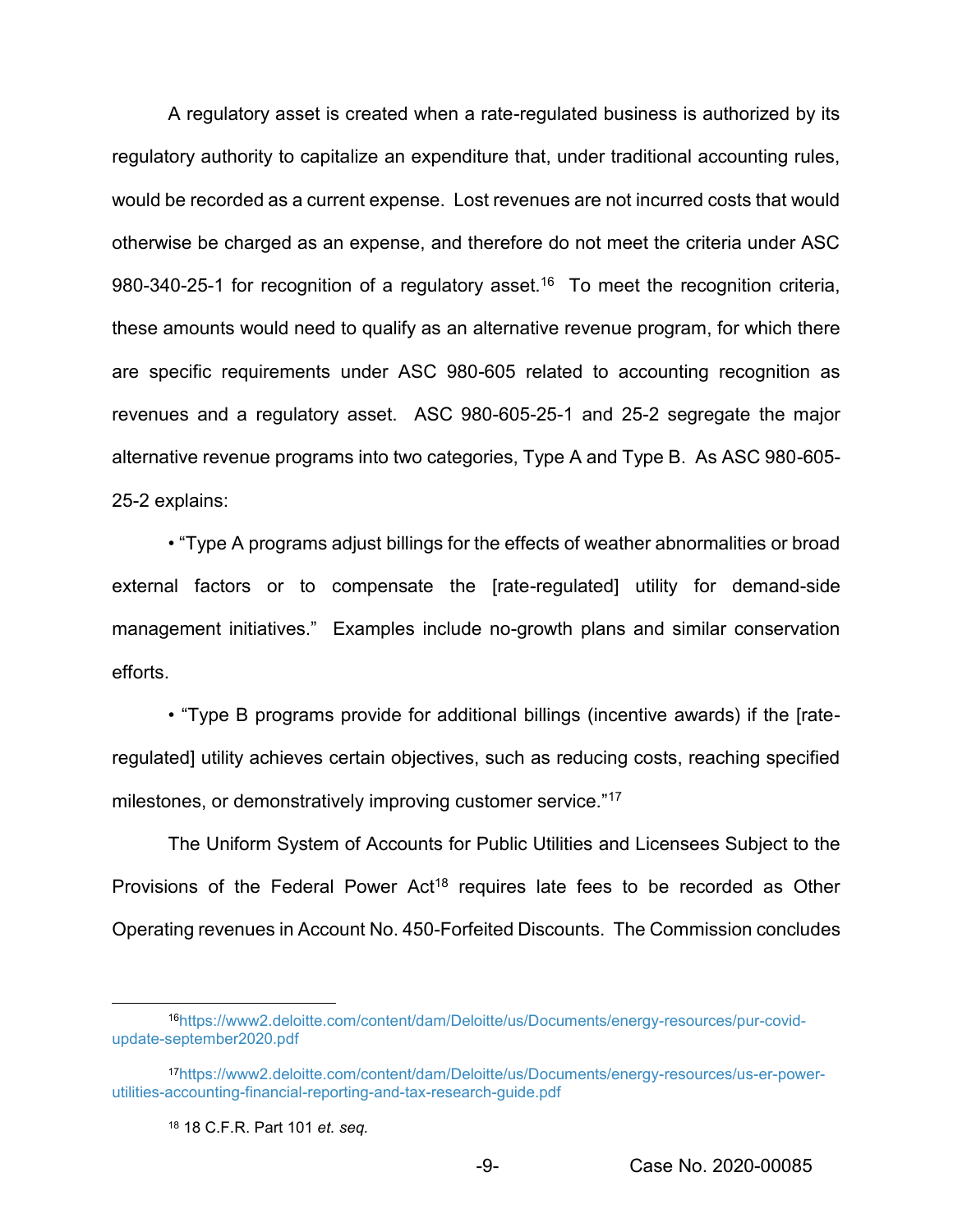A regulatory asset is created when a rate-regulated business is authorized by its regulatory authority to capitalize an expenditure that, under traditional accounting rules, would be recorded as a current expense. Lost revenues are not incurred costs that would otherwise be charged as an expense, and therefore do not meet the criteria under ASC 980-340-25-1 for recognition of a regulatory asset.<sup>16</sup> To meet the recognition criteria, these amounts would need to qualify as an alternative revenue program, for which there are specific requirements under ASC 980-605 related to accounting recognition as revenues and a regulatory asset. ASC 980-605-25-1 and 25-2 segregate the major alternative revenue programs into two categories, Type A and Type B. As ASC 980-605- 25-2 explains:

• "Type A programs adjust billings for the effects of weather abnormalities or broad external factors or to compensate the [rate-regulated] utility for demand-side management initiatives." Examples include no-growth plans and similar conservation efforts.

• "Type B programs provide for additional billings (incentive awards) if the [rateregulated] utility achieves certain objectives, such as reducing costs, reaching specified milestones, or demonstratively improving customer service."<sup>17</sup>

The Uniform System of Accounts for Public Utilities and Licensees Subject to the Provisions of the Federal Power Act<sup>18</sup> requires late fees to be recorded as Other Operating revenues in Account No. 450-Forfeited Discounts. The Commission concludes

 <sup>16</sup>https://www2.deloitte.com/content/dam/Deloitte/us/Documents/energy-resources/pur-covidupdate-september2020.pdf

<sup>17</sup>https://www2.deloitte.com/content/dam/Deloitte/us/Documents/energy-resources/us-er-powerutilities-accounting-financial-reporting-and-tax-research-guide.pdf

<sup>18</sup> 18 C.F.R. Part 101 *et. seq.*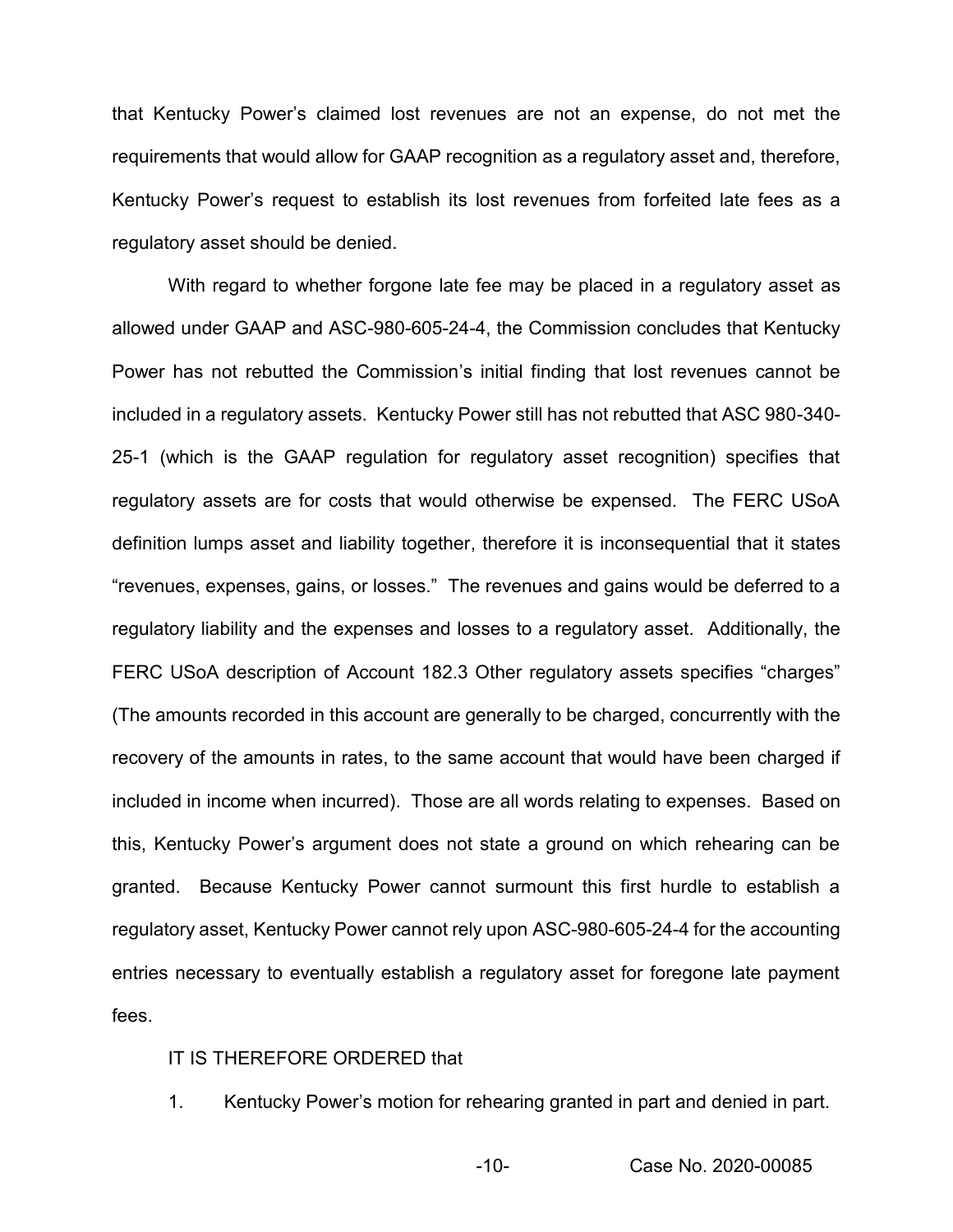that Kentucky Power's claimed lost revenues are not an expense, do not met the requirements that would allow for GAAP recognition as a regulatory asset and, therefore, Kentucky Power's request to establish its lost revenues from forfeited late fees as a regulatory asset should be denied.

With regard to whether forgone late fee may be placed in a regulatory asset as allowed under GAAP and ASC-980-605-24-4, the Commission concludes that Kentucky Power has not rebutted the Commission's initial finding that lost revenues cannot be included in a regulatory assets. Kentucky Power still has not rebutted that ASC 980-340- 25-1 (which is the GAAP regulation for regulatory asset recognition) specifies that regulatory assets are for costs that would otherwise be expensed. The FERC USoA definition lumps asset and liability together, therefore it is inconsequential that it states "revenues, expenses, gains, or losses." The revenues and gains would be deferred to a regulatory liability and the expenses and losses to a regulatory asset. Additionally, the FERC USoA description of Account 182.3 Other regulatory assets specifies "charges" (The amounts recorded in this account are generally to be charged, concurrently with the recovery of the amounts in rates, to the same account that would have been charged if included in income when incurred). Those are all words relating to expenses. Based on this, Kentucky Power's argument does not state a ground on which rehearing can be granted. Because Kentucky Power cannot surmount this first hurdle to establish a regulatory asset, Kentucky Power cannot rely upon ASC-980-605-24-4 for the accounting entries necessary to eventually establish a regulatory asset for foregone late payment fees.

### IT IS THEREFORE ORDERED that

1. Kentucky Power's motion for rehearing granted in part and denied in part.

-10- Case No. 2020-00085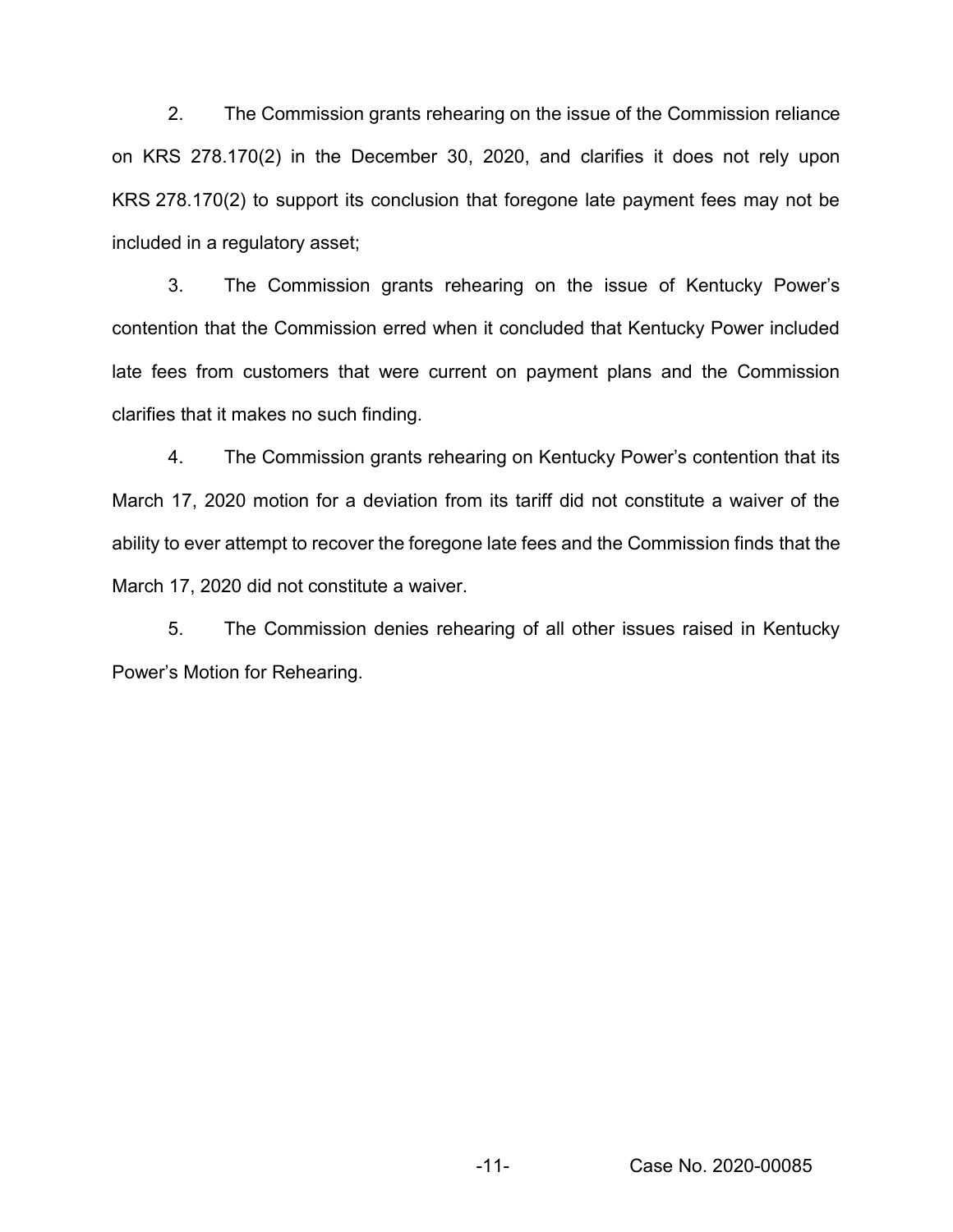2. The Commission grants rehearing on the issue of the Commission reliance on KRS 278.170(2) in the December 30, 2020, and clarifies it does not rely upon KRS 278.170(2) to support its conclusion that foregone late payment fees may not be included in a regulatory asset;

3. The Commission grants rehearing on the issue of Kentucky Power's contention that the Commission erred when it concluded that Kentucky Power included late fees from customers that were current on payment plans and the Commission clarifies that it makes no such finding.

4. The Commission grants rehearing on Kentucky Power's contention that its March 17, 2020 motion for a deviation from its tariff did not constitute a waiver of the ability to ever attempt to recover the foregone late fees and the Commission finds that the March 17, 2020 did not constitute a waiver.

5. The Commission denies rehearing of all other issues raised in Kentucky Power's Motion for Rehearing.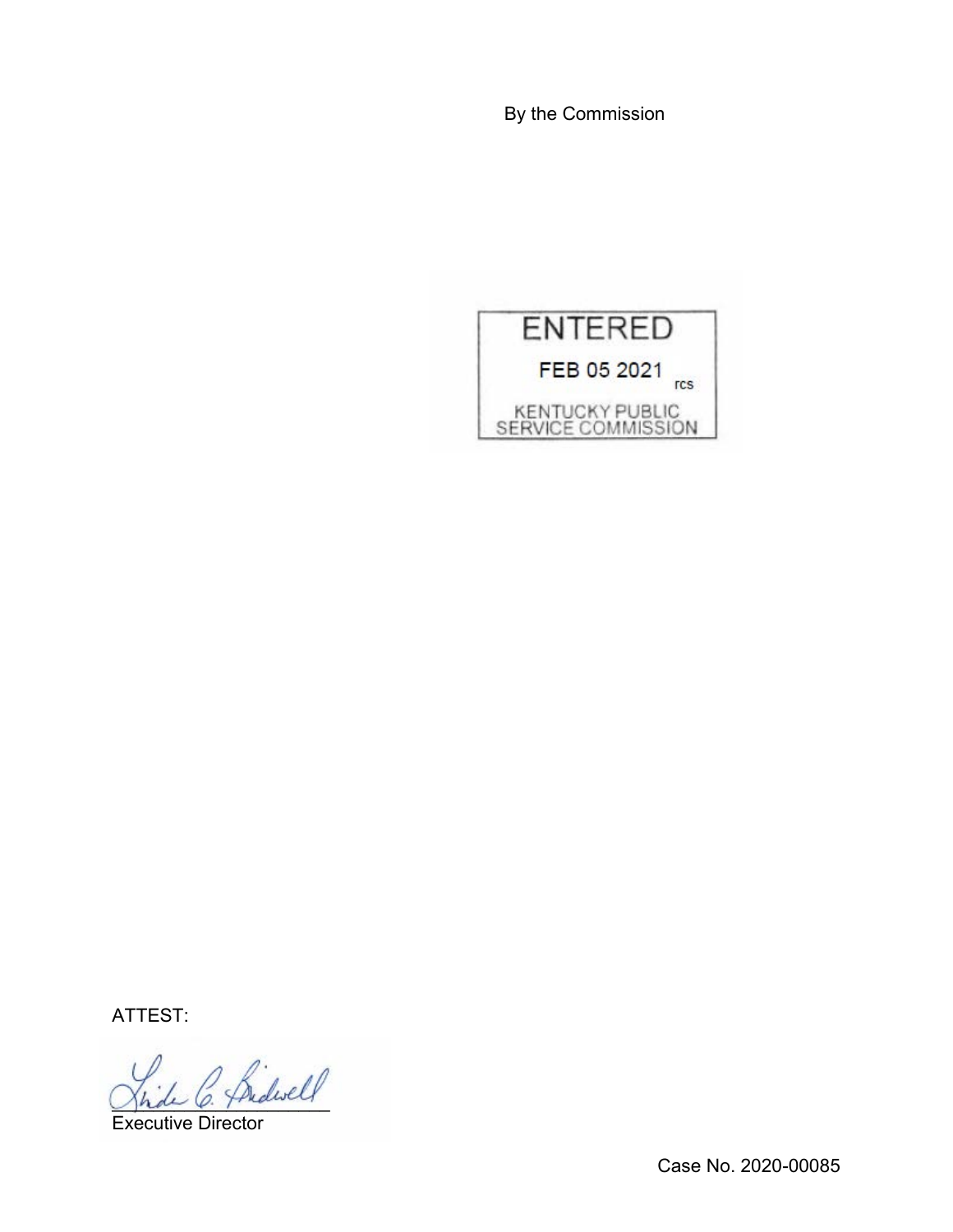By the Commission



ATTEST:

Bidwell

Executive Director

Case No. 2020-00085